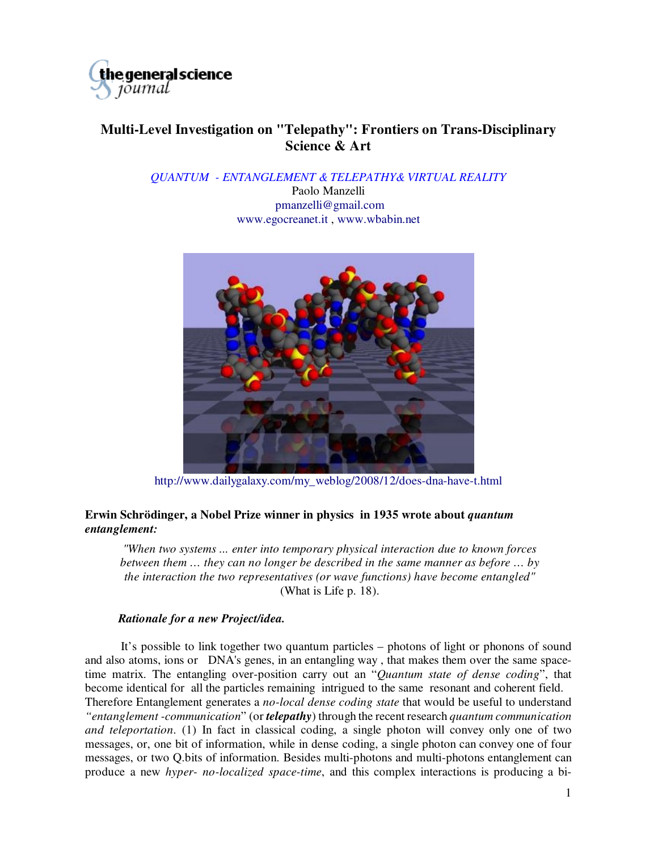

## **Multi-Level Investigation on "Telepathy": Frontiers on Trans-Disciplinary Science & Art**

*QUANTUM - ENTANGLEMENT & TELEPATHY& VIRTUAL REALITY* 

Paolo Manzelli pmanzelli@gmail.com [www.egocreanet.it ,](http://www.egocreanet.it) [www.wbabin.net](http://www.wbabin.net)



http://[www.dailygalaxy.com/my\\_weblog/2008/12/does-d](http://www.dailygalaxy.com/my_weblog/2008/12/does)na-have-t.html

## **Erwin Schrödinger, a Nobel Prize winner in physics in 1935 wrote about** *quantum entanglement:*

*"When two systems ... enter into temporary physical interaction due to known forces between them … they can no longer be described in the same manner as before … by the interaction the two representatives (or wave functions) have become entangled"* (What is Life p. 18).

## *Rationale for a new Project/idea.*

 It's possible to link together two quantum particles – photons of light or phonons of sound and also atoms, ions or DNA's genes, in an entangling way , that makes them over the same spacetime matrix. The entangling over-position carry out an "*Quantum state of dense coding*", that become identical for all the particles remaining intrigued to the same resonant and coherent field. Therefore Entanglement generates a *no-local dense coding state* that would be useful to understand *"entanglement -communication*" (or *telepathy*) through the recent research *quantum communication and teleportation*. (1) In fact in classical coding, a single photon will convey only one of two messages, or, one bit of information, while in dense coding, a single photon can convey one of four messages, or two Q.bits of information. Besides multi-photons and multi-photons entanglement can produce a new *hyper- no-localized space-time*, and this complex interactions is producing a bi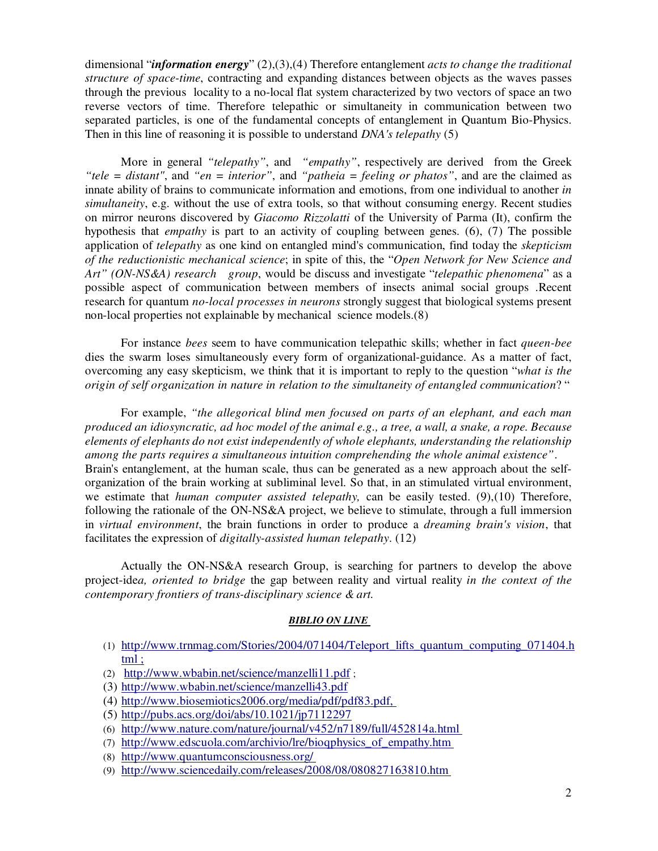dimensional "*information energy*" (2),(3),(4) Therefore entanglement *acts to change the traditional structure of space-time*, contracting and expanding distances between objects as the waves passes through the previous locality to a no-local flat system characterized by two vectors of space an two reverse vectors of time. Therefore telepathic or simultaneity in communication between two separated particles, is one of the fundamental concepts of entanglement in Quantum Bio-Physics. Then in this line of reasoning it is possible to understand *DNA's telepathy* (5)

 More in general *"telepathy"*, and *"empathy"*, respectively are derived from the Greek *"tele = distant"*, and *"en = interior"*, and *"patheia = feeling or phatos"*, and are the claimed as innate ability of brains to communicate information and emotions, from one individual to another *in simultaneity*, e.g. without the use of extra tools, so that without consuming energy. Recent studies on mirror neurons discovered by *Giacomo Rizzolatti* of the University of Parma (It), confirm the hypothesis that *empathy* is part to an activity of coupling between genes. (6), (7) The possible application of *telepathy* as one kind on entangled mind's communication, find today the *skepticism of the reductionistic mechanical science*; in spite of this, the "*Open Network for New Science and Art" (ON-NS&A) research group*, would be discuss and investigate "*telepathic phenomena*" as a possible aspect of communication between members of insects animal social groups .Recent research for quantum *no-local processes in neurons* strongly suggest that biological systems present non-local properties not explainable by mechanical science models.(8)

For instance *bees* seem to have communication telepathic skills; whether in fact *queen-bee* dies the swarm loses simultaneously every form of organizational-guidance. As a matter of fact, overcoming any easy skepticism, we think that it is important to reply to the question "*what is the origin of self organization in nature in relation to the simultaneity of entangled communication*? "

For example, *"the allegorical blind men focused on parts of an elephant, and each man produced an idiosyncratic, ad hoc model of the animal e.g., a tree, a wall, a snake, a rope. Because elements of elephants do not exist independently of whole elephants, understanding the relationship among the parts requires a simultaneous intuition comprehending the whole animal existence"*. Brain's entanglement, at the human scale, thus can be generated as a new approach about the selforganization of the brain working at subliminal level. So that, in an stimulated virtual environment, we estimate that *human computer assisted telepathy,* can be easily tested. (9),(10) Therefore, following the rationale of the ON-NS&A project, we believe to stimulate, through a full immersion in *virtual environment*, the brain functions in order to produce a *dreaming brain's vision*, that facilitates the expression of *digitally-assisted human telepathy*. (12)

Actually the ON-NS&A research Group, is searching for partners to develop the above project-ide*a, oriented to bridge* the gap between reality and virtual reality *in the context of the contemporary frontiers of trans-disciplinary science & art.* 

## *BIBLIO ON LINE*

- (1) http://[www.trnmag.com/Stories/2004/071404/Teleport\\_lifts\\_quantum\\_computing\\_071404.h](http://www.trnmag.com/Stories/2004/071404/Teleport_lifts_quantum_computing_071404.h) tml ;
- (2) http://[www.wbabin.net/science/manzelli11.pdf](http://www.wbabin.net/science/manzelli11.pdf) ;
- (3) <http://www.wbabin.net/science/manzelli43.pdf>
- (4) [http://www.biosemiotics2006.org/media/pdf/pdf83.pdf,](http://www.biosemiotics2006.org/media/pdf/pdf83.pdf)
- (5) <http://pubs.acs.org/doi/abs/10.1021/jp7112297>
- (6) http://[www.nature.com/nature/journal/v452/n7189/full/452814a.html](http://www.nature.com/nature/journal/v452/n7189/full/452814a.html)
- (7) [http://www.edscuola.com/archivio/lre/bioqphysics\\_of\\_empathy.htm](http://www.edscuola.com/archivio/lre/bioqphysics_of_empathy.htm)
- (8) http://[www.quantumconsciousness.org/](http://www.quantumconsciousness.org/)
- (9) <http://www.sciencedaily.com/releases/2008/08/080827163810.htm>